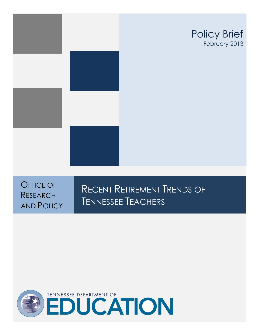

# Policy Brief February 2013

# OFFICE OF RESEARCH AND POLICY

# RECENT RETIREMENT TRENDS OF TENNESSEE TEACHERS

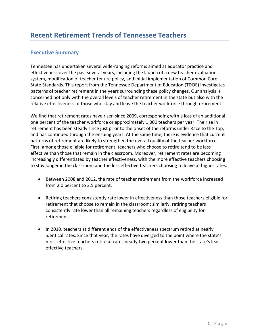# **Executive Summary**

Tennessee has undertaken several wide-ranging reforms aimed at educator practice and effectiveness over the past several years, including the launch of a new teacher evaluation system, modification of teacher tenure policy, and initial implementation of Common Core State Standards. This report from the Tennessee Department of Education (TDOE) investigates patterns of teacher retirement in the years surrounding these policy changes. Our analysis is concerned not only with the overall levels of teacher retirement in the state but also with the relative effectiveness of those who stay and leave the teacher workforce through retirement.

We find that retirement rates have risen since 2009, corresponding with a loss of an additional one percent of the teacher workforce or approximately 1,000 teachers per year. The rise in retirement has been steady since just prior to the onset of the reforms under Race to the Top, and has continued through the ensuing years. At the same time, there is evidence that current patterns of retirement are likely to strengthen the overall quality of the teacher workforce. First, among those eligible for retirement, teachers who choose to retire tend to be less effective than those that remain in the classroom. Moreover, retirement rates are becoming increasingly differentiated by teacher effectiveness, with the more effective teachers choosing to stay longer in the classroom and the less effective teachers choosing to leave at higher rates.

- Between 2008 and 2012, the rate of teacher retirement from the workforce increased from 2.0 percent to 3.5 percent.
- Retiring teachers consistently rate lower in effectiveness than those teachers eligible for retirement that choose to remain in the classroom; similarly, retiring teachers consistently rate lower than all remaining teachers regardless of eligibility for retirement.
- In 2010, teachers at different ends of the effectiveness spectrum retired at nearly identical rates. Since that year, the rates have diverged to the point where the state's most effective teachers retire at rates nearly two percent lower than the state's least effective teachers.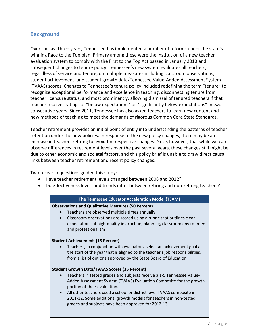# **Background**

Over the last three years, Tennessee has implemented a number of reforms under the state's winning Race to the Top plan. Primary among these were the institution of a new teacher evaluation system to comply with the First to the Top Act passed in January 2010 and subsequent changes to tenure policy. Tennessee's new system evaluates all teachers, regardless of service and tenure, on multiple measures including classroom observations, student achievement, and student growth data/Tennessee Value-Added Assessment System (TVAAS) scores. Changes to Tennessee's tenure policy included redefining the term "tenure" to recognize exceptional performance and excellence in teaching, disconnecting tenure from teacher licensure status, and most prominently, allowing dismissal of tenured teachers if that teacher receives ratings of "below expectations" or "significantly below expectations" in two consecutive years. Since 2011, Tennessee has also asked teachers to learn new content and new methods of teaching to meet the demands of rigorous Common Core State Standards.

Teacher retirement provides an initial point of entry into understanding the patterns of teacher retention under the new policies. In response to the new policy changes, there may be an increase in teachers retiring to avoid the respective changes. Note, however, that while we can observe differences in retirement levels over the past several years, these changes still might be due to other economic and societal factors, and this policy brief is unable to draw direct causal links between teacher retirement and recent policy changes.

Two research questions guided this study:

- Have teacher retirement levels changed between 2008 and 2012?
- Do effectiveness levels and trends differ between retiring and non-retiring teachers?

#### **The Tennessee Educator Acceleration Model (TEAM)**

#### **Observations and Qualitative Measures (50 Percent)**

- Teachers are observed multiple times annually
- Classroom observations are scored using a rubric that outlines clear expectations of high-quality instruction, planning, classroom environment and professionalism

#### **Student Achievement (15 Percent)**

 Teachers, in conjunction with evaluators, select an achievement goal at the start of the year that is aligned to the teacher's job responsibilities, from a list of options approved by the State Board of Education

#### **Student Growth Data/TVAAS Scores (35 Percent)**

- Teachers in tested grades and subjects receive a 1-5 Tennessee Value-Added Assessment System (TVAAS) Evaluation Composite for the growth portion of their evaluation.
- All other teachers used a school or district level TVAAS composite in 2011-12. Some additional growth models for teachers in non-tested grades and subjects have been approved for 2012-13.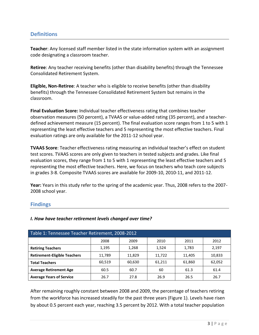# **Definitions**

**Teacher**: Any licensed staff member listed in the state information system with an assignment code designating a classroom teacher.

**Retiree**: Any teacher receiving benefits (other than disability benefits) through the Tennessee Consolidated Retirement System.

**Eligible, Non-Retiree**: A teacher who is eligible to receive benefits (other than disability benefits) through the Tennessee Consolidated Retirement System but remains in the classroom.

**Final Evaluation Score:** Individual teacher effectiveness rating that combines teacher observation measures (50 percent), a TVAAS or value-added rating (35 percent), and a teacherdefined achievement measure (15 percent). The final evaluation score ranges from 1 to 5 with 1 representing the least effective teachers and 5 representing the most effective teachers. Final evaluation ratings are only available for the 2011-12 school year.

**TVAAS Score**: Teacher effectiveness rating measuring an individual teacher's effect on student test scores. TVAAS scores are only given to teachers in tested subjects and grades. Like final evaluation scores, they range from 1 to 5 with 1 representing the least effective teachers and 5 representing the most effective teachers. Here, we focus on teachers who teach core subjects in grades 3-8. Composite TVAAS scores are available for 2009-10, 2010-11, and 2011-12.

**Year:** Years in this study refer to the spring of the academic year. Thus, 2008 refers to the 2007- 2008 school year.

### **Findings**

| Table 1: Tennessee Teacher Retirement, 2008-2012 |        |        |        |        |        |  |  |
|--------------------------------------------------|--------|--------|--------|--------|--------|--|--|
|                                                  | 2008   | 2009   | 2010   | 2011   | 2012   |  |  |
| <b>Retiring Teachers</b>                         | 1,195  | 1,268  | 1.524  | 1,783  | 2,197  |  |  |
| <b>Retirement-Eligible Teachers</b>              | 11,789 | 11,829 | 11,722 | 11,405 | 10,833 |  |  |
| <b>Total Teachers</b>                            | 60,519 | 60,630 | 61.211 | 61,860 | 62,052 |  |  |
| <b>Average Retirement Age</b>                    | 60.5   | 60.7   | 60     | 61.3   | 61.4   |  |  |
| <b>Average Years of Service</b>                  | 26.7   | 27.8   | 26.9   | 26.5   | 26.7   |  |  |

#### *I. How have teacher retirement levels changed over time?*

After remaining roughly constant between 2008 and 2009, the percentage of teachers retiring from the workforce has increased steadily for the past three years (Figure 1). Levels have risen by about 0.5 percent each year, reaching 3.5 percent by 2012. With a total teacher population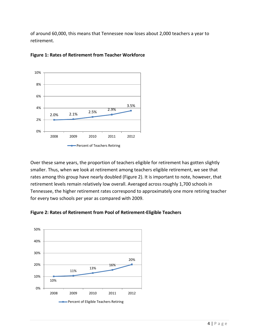of around 60,000, this means that Tennessee now loses about 2,000 teachers a year to retirement.



#### **Figure 1: Rates of Retirement from Teacher Workforce**

Over these same years, the proportion of teachers eligible for retirement has gotten slightly smaller. Thus, when we look at retirement among teachers eligible retirement, we see that rates among this group have nearly doubled (Figure 2). It is important to note, however, that retirement levels remain relatively low overall. Averaged across roughly 1,700 schools in Tennessee, the higher retirement rates correspond to approximately one more retiring teacher for every two schools per year as compared with 2009.



**Figure 2: Rates of Retirement from Pool of Retirement-Eligible Teachers**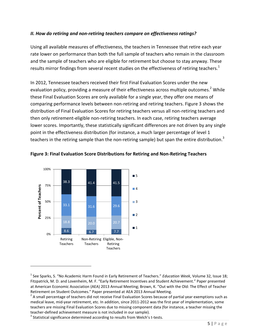#### *II. How do retiring and non-retiring teachers compare on effectiveness ratings?*

Using all available measures of effectiveness, the teachers in Tennessee that retire each year rate lower on performance than both the full sample of teachers who remain in the classroom and the sample of teachers who are eligible for retirement but choose to stay anyway. These results mirror findings from several recent studies on the effectiveness of retiring teachers.<sup>1</sup>

In 2012, Tennessee teachers received their first Final Evaluation Scores under the new evaluation policy, providing a measure of their effectiveness across multiple outcomes.<sup>2</sup> While these Final Evaluation Scores are only available for a single year, they offer one means of comparing performance levels between non-retiring and retiring teachers. Figure 3 shows the distribution of Final Evaluation Scores for retiring teachers versus all non-retiring teachers and then only retirement-eligible non-retiring teachers. In each case, retiring teachers average lower scores. Importantly, these statistically significant differences are not driven by any single point in the effectiveness distribution (for instance, a much larger percentage of level 1 teachers in the retiring sample than the non-retiring sample) but span the entire distribution.<sup>3</sup>



 $\overline{\phantom{a}}$ 

#### **Figure 3: Final Evaluation Score Distributions for Retiring and Non-Retiring Teachers**

<sup>1</sup> See Sparks, S. "No Academic Harm Found in Early Retirement of Teachers." *Education Week*, Volume 32, Issue 18; Fitzpatrick, M. D. and Lovenheim, M. F. "Early Retirement Incentives and Student Achievement." Paper presented at American Economic Association (AEA) 2013 Annual Meeting; Brown, K. "Out with the Old: The Effect of Teacher Retirement on Student Outcomes." Paper presented at AEA 2013 Annual Meeting.

 $^2$  A small percentage of teachers did not receive Final Evaluation Scores because of partial year exemptions such as medical leave, mid-year retirement, etc. In addition, since 2011-2012 was the first year of implementation, some teachers are missing Final Evaluation Scores due to missing component data (for instance, a teacher missing the teacher-defined achievement measure is not included in our sample).

 $3$  Statistical significance determined according to results from Welch's t-tests.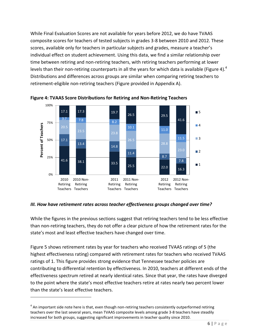While Final Evaluation Scores are not available for years before 2012, we do have TVAAS composite scores for teachers of tested subjects in grades 3-8 between 2010 and 2012. These scores, available only for teachers in particular subjects and grades, measure a teacher's individual effect on student achievement. Using this data, we find a similar relationship over time between retiring and non-retiring teachers, with retiring teachers performing at lower levels than their non-retiring counterparts in all the years for which data is available (Figure 4).<sup>4</sup> Distributions and differences across groups are similar when comparing retiring teachers to retirement-eligible non-retiring teachers (Figure provided in Appendix A).



**Figure 4: TVAAS Score Distributions for Retiring and Non-Retiring Teachers**

#### *III. How have retirement rates across teacher effectiveness groups changed over time?*

While the figures in the previous sections suggest that retiring teachers tend to be less effective than non-retiring teachers, they do not offer a clear picture of how the retirement rates for the state's most and least effective teachers have changed over time.

Figure 5 shows retirement rates by year for teachers who received TVAAS ratings of 5 (the highest effectiveness rating) compared with retirement rates for teachers who received TVAAS ratings of 1. This figure provides strong evidence that Tennessee teacher policies are contributing to differential retention by effectiveness. In 2010, teachers at different ends of the effectiveness spectrum retired at nearly identical rates. Since that year, the rates have diverged to the point where the state's most effective teachers retire at rates nearly two percent lower than the state's least effective teachers.

l

 $^4$  An important side note here is that, even though non-retiring teachers consistently outperformed retiring teachers over the last several years, mean TVAAS composite levels among grade 3-8 teachers have steadily increased for both groups, suggesting significant improvements in teacher quality since 2010.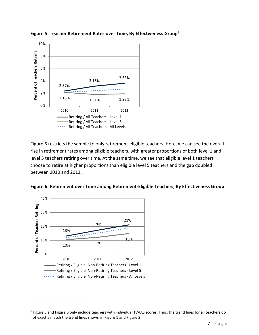

**Figure 5: Teacher Retirement Rates over Time, By Effectiveness Group<sup>5</sup>**

Figure 6 restricts the sample to only retirement-eligible teachers. Here, we can see the overall rise in retirement rates among eligible teachers, with greater proportions of both level 1 and level 5 teachers retiring over time. At the same time, we see that eligible level 1 teachers choose to retire at higher proportions than eligible level 5 teachers and the gap doubled between 2010 and 2012.





 $\overline{\phantom{a}}$ 

<sup>&</sup>lt;sup>5</sup> Figure 5 and Figure 6 only include teachers with individual TVAAS scores. Thus, the trend lines for all teachers do not exactly match the trend lines shown in Figure 1 and Figure 2.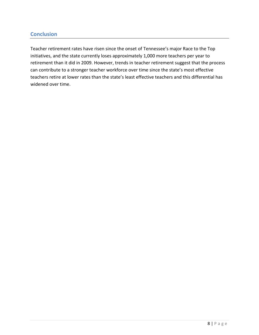## **Conclusion**

Teacher retirement rates have risen since the onset of Tennessee's major Race to the Top initiatives, and the state currently loses approximately 1,000 more teachers per year to retirement than it did in 2009. However, trends in teacher retirement suggest that the process can contribute to a stronger teacher workforce over time since the state's most effective teachers retire at lower rates than the state's least effective teachers and this differential has widened over time.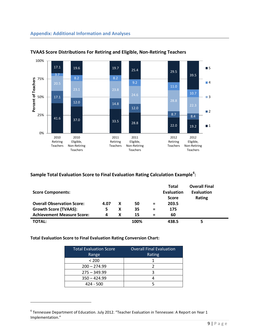

#### **TVAAS Score Distributions For Retiring and Eligible, Non-Retiring Teachers**

### **Sample Total Evaluation Score to Final Evaluation Rating Calculation Example<sup>6</sup> :**

| <b>Score Components:</b>          |      |   |      |     | <b>Total</b><br>Evaluation<br>Score | <b>Overall Final</b><br>Evaluation<br>Rating |
|-----------------------------------|------|---|------|-----|-------------------------------------|----------------------------------------------|
| <b>Overall Observation Score:</b> | 4.07 | X | 50   | $=$ | 203.5                               |                                              |
| <b>Growth Score (TVAAS):</b>      | 5.   | X | 35   | $=$ | 175                                 |                                              |
| <b>Achievement Measure Score:</b> | 4    | X | 15   | =   | 60                                  |                                              |
| TOTAL:                            |      |   | 100% |     | 438.5                               | 5                                            |

#### **Total Evaluation Score to Final Evaluation Rating Conversion Chart:**

 $\overline{\phantom{a}}$ 

| <b>Total Evaluation Score</b> | <b>Overall Final Evaluation</b> |  |  |  |
|-------------------------------|---------------------------------|--|--|--|
| Range                         | Rating                          |  |  |  |
| < 200                         |                                 |  |  |  |
| $200 - 274.99$                |                                 |  |  |  |
| $275 - 349.99$                |                                 |  |  |  |
| $350 - 424.99$                |                                 |  |  |  |
| $424 - 500$                   |                                 |  |  |  |

 $^6$  Tennessee Department of Education. July 2012. "Teacher Evaluation in Tennessee: A Report on Year 1 Implementation."